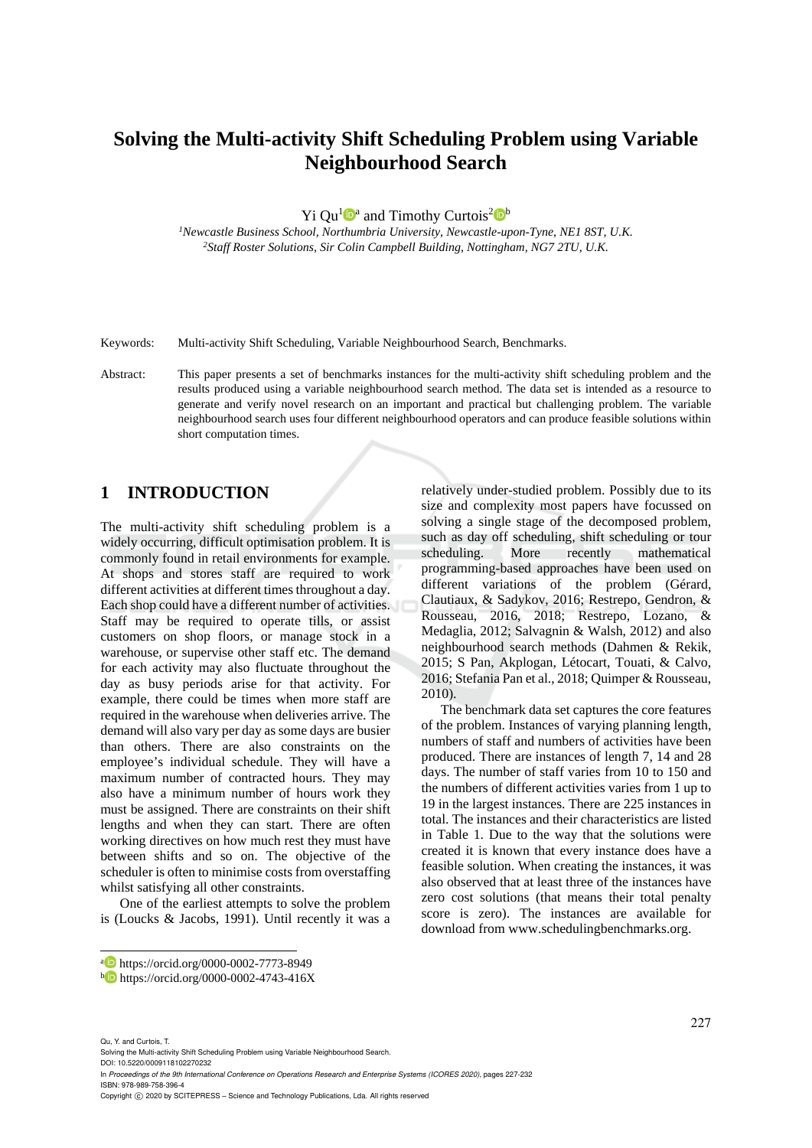# **Solving the Multi-activity Shift Scheduling Problem using Variable Neighbourhood Search**

Yi Qu<sup>1</sup> $\mathbf{D}^{\mathbf{a}}$  and Timothy Curtois<sup>2</sup> $\mathbf{D}^{\mathbf{b}}$ 

*1Newcastle Business School, Northumbria University, Newcastle-upon-Tyne, NE1 8ST, U.K. 2Staff Roster Solutions, Sir Colin Campbell Building, Nottingham, NG7 2TU, U.K.* 

Keywords: Multi-activity Shift Scheduling, Variable Neighbourhood Search, Benchmarks.

Abstract: This paper presents a set of benchmarks instances for the multi-activity shift scheduling problem and the results produced using a variable neighbourhood search method. The data set is intended as a resource to generate and verify novel research on an important and practical but challenging problem. The variable neighbourhood search uses four different neighbourhood operators and can produce feasible solutions within short computation times.

### **1 INTRODUCTION**

The multi-activity shift scheduling problem is a widely occurring, difficult optimisation problem. It is commonly found in retail environments for example. At shops and stores staff are required to work different activities at different times throughout a day. Each shop could have a different number of activities. Staff may be required to operate tills, or assist customers on shop floors, or manage stock in a warehouse, or supervise other staff etc. The demand for each activity may also fluctuate throughout the day as busy periods arise for that activity. For example, there could be times when more staff are required in the warehouse when deliveries arrive. The demand will also vary per day as some days are busier than others. There are also constraints on the employee's individual schedule. They will have a maximum number of contracted hours. They may also have a minimum number of hours work they must be assigned. There are constraints on their shift lengths and when they can start. There are often working directives on how much rest they must have between shifts and so on. The objective of the scheduler is often to minimise costs from overstaffing whilst satisfying all other constraints.

One of the earliest attempts to solve the problem is (Loucks & Jacobs, 1991). Until recently it was a relatively under-studied problem. Possibly due to its size and complexity most papers have focussed on solving a single stage of the decomposed problem, such as day off scheduling, shift scheduling or tour scheduling. More recently mathematical programming-based approaches have been used on different variations of the problem (Gérard, Clautiaux, & Sadykov, 2016; Restrepo, Gendron, & Rousseau, 2016, 2018; Restrepo, Lozano, & Medaglia, 2012; Salvagnin & Walsh, 2012) and also neighbourhood search methods (Dahmen & Rekik, 2015; S Pan, Akplogan, Létocart, Touati, & Calvo, 2016; Stefania Pan et al., 2018; Quimper & Rousseau, 2010).

The benchmark data set captures the core features of the problem. Instances of varying planning length, numbers of staff and numbers of activities have been produced. There are instances of length 7, 14 and 28 days. The number of staff varies from 10 to 150 and the numbers of different activities varies from 1 up to 19 in the largest instances. There are 225 instances in total. The instances and their characteristics are listed in Table 1. Due to the way that the solutions were created it is known that every instance does have a feasible solution. When creating the instances, it was also observed that at least three of the instances have zero cost solutions (that means their total penalty score is zero). The instances are available for download from www.schedulingbenchmarks.org.

Qu, Y. and Curtois, T.

 $\overline{a}$ 

Solving the Multi-activity Shift Scheduling Problem using Variable Neighbourhood Search.

DOI: 10.5220/0009118102270232

In *Proceedings of the 9th International Conference on Operations Research and Enterprise Systems (ICORES 2020)*, pages 227-232 ISBN: 978-989-758-396-4

a https://orcid.org/0000-0002-7773-8949<br>b https://orcid.org/0000-0002-4743-416X

Copyright © 2020 by SCITEPRESS - Science and Technology Publications, Lda. All rights reserved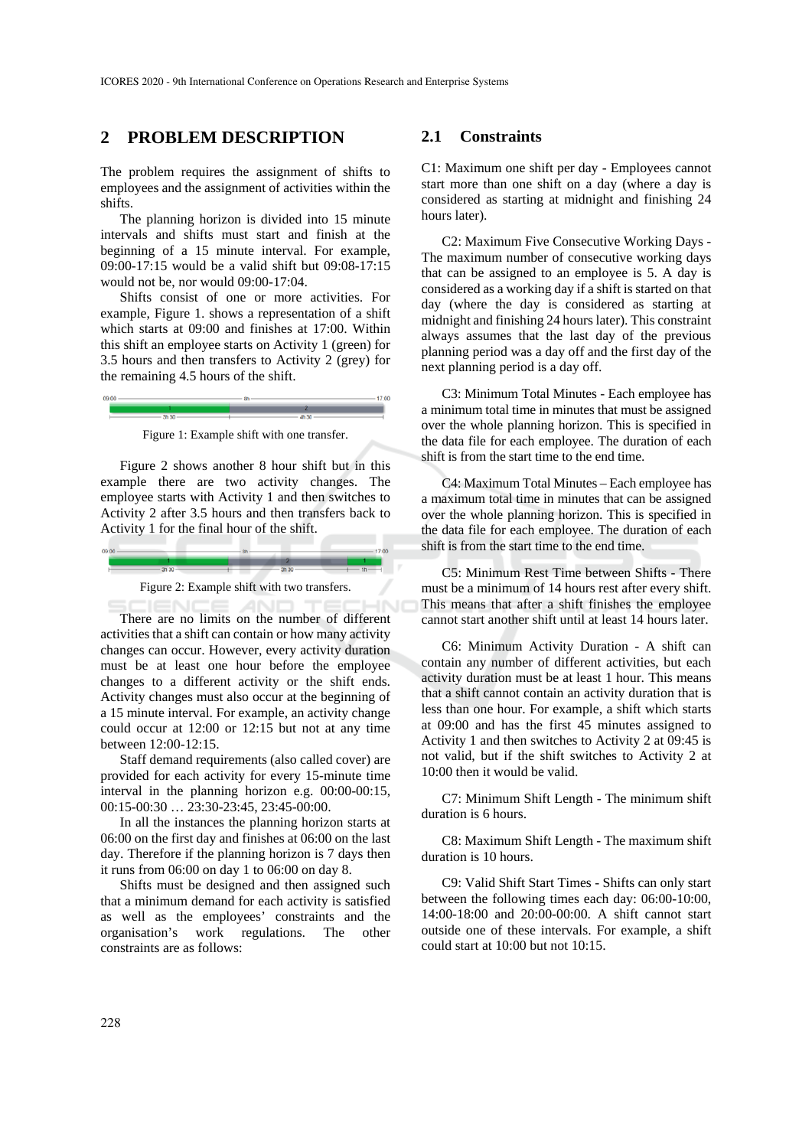### **2 PROBLEM DESCRIPTION**

The problem requires the assignment of shifts to employees and the assignment of activities within the shifts.

The planning horizon is divided into 15 minute intervals and shifts must start and finish at the beginning of a 15 minute interval. For example, 09:00-17:15 would be a valid shift but 09:08-17:15 would not be, nor would 09:00-17:04.

Shifts consist of one or more activities. For example, Figure 1. shows a representation of a shift which starts at 09:00 and finishes at 17:00. Within this shift an employee starts on Activity 1 (green) for 3.5 hours and then transfers to Activity 2 (grey) for the remaining 4.5 hours of the shift.



Figure 1: Example shift with one transfer.

Figure 2 shows another 8 hour shift but in this example there are two activity changes. The employee starts with Activity 1 and then switches to Activity 2 after 3.5 hours and then transfers back to Activity 1 for the final hour of the shift.





**ANI** 

There are no limits on the number of different activities that a shift can contain or how many activity changes can occur. However, every activity duration must be at least one hour before the employee changes to a different activity or the shift ends. Activity changes must also occur at the beginning of a 15 minute interval. For example, an activity change could occur at 12:00 or 12:15 but not at any time between 12:00-12:15.

Staff demand requirements (also called cover) are provided for each activity for every 15-minute time interval in the planning horizon e.g. 00:00-00:15, 00:15-00:30 … 23:30-23:45, 23:45-00:00.

In all the instances the planning horizon starts at 06:00 on the first day and finishes at 06:00 on the last day. Therefore if the planning horizon is 7 days then it runs from 06:00 on day 1 to 06:00 on day 8.

Shifts must be designed and then assigned such that a minimum demand for each activity is satisfied as well as the employees' constraints and the organisation's work regulations. The other constraints are as follows:

#### **2.1 Constraints**

C1: Maximum one shift per day - Employees cannot start more than one shift on a day (where a day is considered as starting at midnight and finishing 24 hours later).

C2: Maximum Five Consecutive Working Days - The maximum number of consecutive working days that can be assigned to an employee is 5. A day is considered as a working day if a shift is started on that day (where the day is considered as starting at midnight and finishing 24 hours later). This constraint always assumes that the last day of the previous planning period was a day off and the first day of the next planning period is a day off.

C3: Minimum Total Minutes - Each employee has a minimum total time in minutes that must be assigned over the whole planning horizon. This is specified in the data file for each employee. The duration of each shift is from the start time to the end time.

C4: Maximum Total Minutes – Each employee has a maximum total time in minutes that can be assigned over the whole planning horizon. This is specified in the data file for each employee. The duration of each shift is from the start time to the end time.

C5: Minimum Rest Time between Shifts - There must be a minimum of 14 hours rest after every shift. This means that after a shift finishes the employee cannot start another shift until at least 14 hours later.

C6: Minimum Activity Duration - A shift can contain any number of different activities, but each activity duration must be at least 1 hour. This means that a shift cannot contain an activity duration that is less than one hour. For example, a shift which starts at 09:00 and has the first 45 minutes assigned to Activity 1 and then switches to Activity 2 at 09:45 is not valid, but if the shift switches to Activity 2 at 10:00 then it would be valid.

C7: Minimum Shift Length - The minimum shift duration is 6 hours.

C8: Maximum Shift Length - The maximum shift duration is 10 hours.

C9: Valid Shift Start Times - Shifts can only start between the following times each day: 06:00-10:00, 14:00-18:00 and 20:00-00:00. A shift cannot start outside one of these intervals. For example, a shift could start at 10:00 but not 10:15.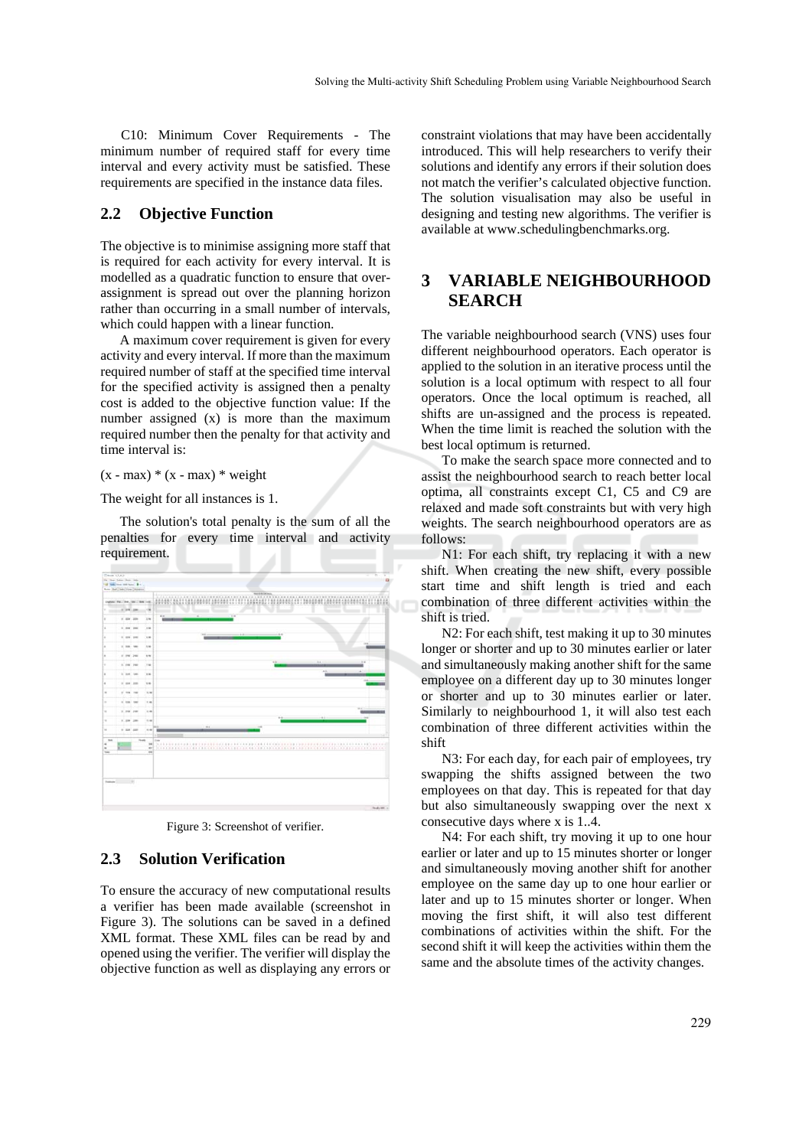C10: Minimum Cover Requirements - The minimum number of required staff for every time interval and every activity must be satisfied. These requirements are specified in the instance data files.

#### **2.2 Objective Function**

The objective is to minimise assigning more staff that is required for each activity for every interval. It is modelled as a quadratic function to ensure that overassignment is spread out over the planning horizon rather than occurring in a small number of intervals, which could happen with a linear function.

A maximum cover requirement is given for every activity and every interval. If more than the maximum required number of staff at the specified time interval for the specified activity is assigned then a penalty cost is added to the objective function value: If the number assigned (x) is more than the maximum required number then the penalty for that activity and time interval is:

 $(x - max) * (x - max) * weight$ 

The weight for all instances is 1.

The solution's total penalty is the sum of all the penalties for every time interval and activity requirement.



Figure 3: Screenshot of verifier.

### **2.3 Solution Verification**

To ensure the accuracy of new computational results a verifier has been made available (screenshot in Figure 3). The solutions can be saved in a defined XML format. These XML files can be read by and opened using the verifier. The verifier will display the objective function as well as displaying any errors or

constraint violations that may have been accidentally introduced. This will help researchers to verify their solutions and identify any errors if their solution does not match the verifier's calculated objective function. The solution visualisation may also be useful in designing and testing new algorithms. The verifier is available at www.schedulingbenchmarks.org.

## **3 VARIABLE NEIGHBOURHOOD SEARCH**

The variable neighbourhood search (VNS) uses four different neighbourhood operators. Each operator is applied to the solution in an iterative process until the solution is a local optimum with respect to all four operators. Once the local optimum is reached, all shifts are un-assigned and the process is repeated. When the time limit is reached the solution with the best local optimum is returned.

To make the search space more connected and to assist the neighbourhood search to reach better local optima, all constraints except C1, C5 and C9 are relaxed and made soft constraints but with very high weights. The search neighbourhood operators are as follows:

N1: For each shift, try replacing it with a new shift. When creating the new shift, every possible start time and shift length is tried and each combination of three different activities within the shift is tried.

N2: For each shift, test making it up to 30 minutes longer or shorter and up to 30 minutes earlier or later and simultaneously making another shift for the same employee on a different day up to 30 minutes longer or shorter and up to 30 minutes earlier or later. Similarly to neighbourhood 1, it will also test each combination of three different activities within the shift

N3: For each day, for each pair of employees, try swapping the shifts assigned between the two employees on that day. This is repeated for that day but also simultaneously swapping over the next x consecutive days where x is 1..4.

N4: For each shift, try moving it up to one hour earlier or later and up to 15 minutes shorter or longer and simultaneously moving another shift for another employee on the same day up to one hour earlier or later and up to 15 minutes shorter or longer. When moving the first shift, it will also test different combinations of activities within the shift. For the second shift it will keep the activities within them the same and the absolute times of the activity changes.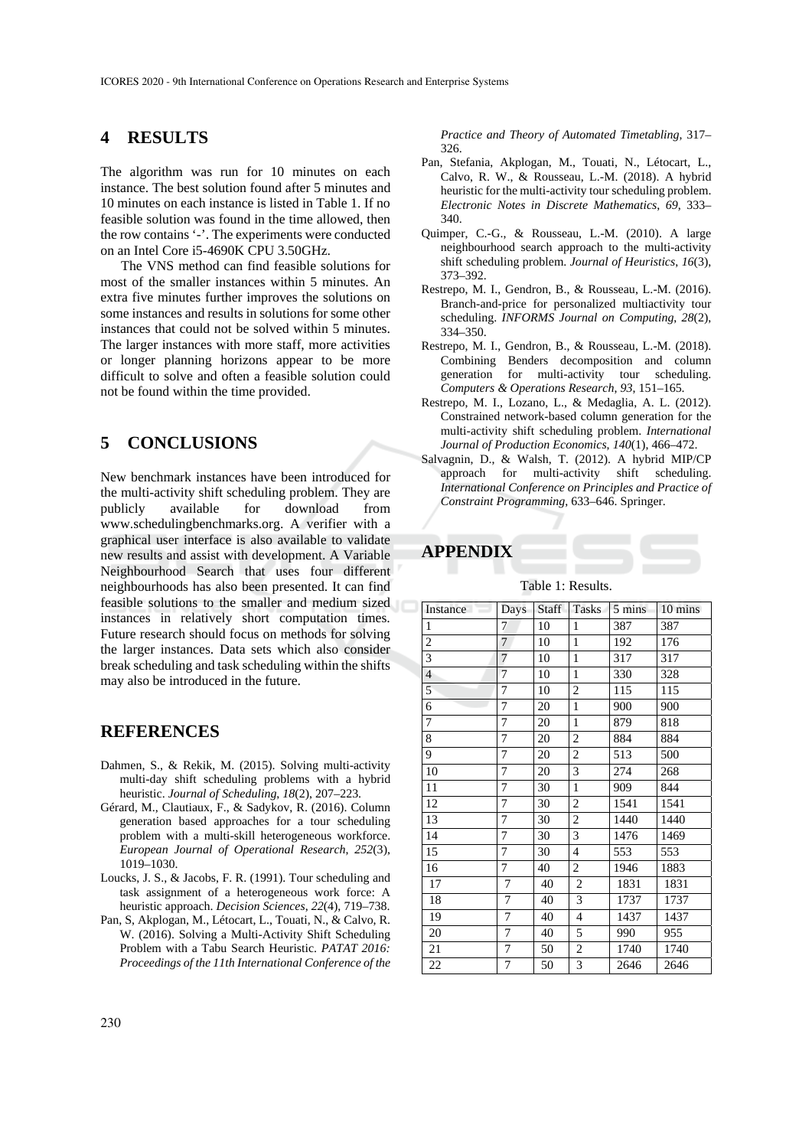### **4 RESULTS**

The algorithm was run for 10 minutes on each instance. The best solution found after 5 minutes and 10 minutes on each instance is listed in Table 1. If no feasible solution was found in the time allowed, then the row contains '-'. The experiments were conducted on an Intel Core i5-4690K CPU 3.50GHz.

The VNS method can find feasible solutions for most of the smaller instances within 5 minutes. An extra five minutes further improves the solutions on some instances and results in solutions for some other instances that could not be solved within 5 minutes. The larger instances with more staff, more activities or longer planning horizons appear to be more difficult to solve and often a feasible solution could not be found within the time provided.

### **5 CONCLUSIONS**

New benchmark instances have been introduced for the multi-activity shift scheduling problem. They are publicly available for download from www.schedulingbenchmarks.org. A verifier with a graphical user interface is also available to validate new results and assist with development. A Variable Neighbourhood Search that uses four different neighbourhoods has also been presented. It can find feasible solutions to the smaller and medium sized instances in relatively short computation times. Future research should focus on methods for solving the larger instances. Data sets which also consider break scheduling and task scheduling within the shifts may also be introduced in the future.

#### **REFERENCES**

- Dahmen, S., & Rekik, M. (2015). Solving multi-activity multi-day shift scheduling problems with a hybrid heuristic. *Journal of Scheduling*, *18*(2), 207–223.
- Gérard, M., Clautiaux, F., & Sadykov, R. (2016). Column generation based approaches for a tour scheduling problem with a multi-skill heterogeneous workforce. *European Journal of Operational Research*, *252*(3), 1019–1030.
- Loucks, J. S., & Jacobs, F. R. (1991). Tour scheduling and task assignment of a heterogeneous work force: A heuristic approach. *Decision Sciences*, *22*(4), 719–738.
- Pan, S, Akplogan, M., Létocart, L., Touati, N., & Calvo, R. W. (2016). Solving a Multi-Activity Shift Scheduling Problem with a Tabu Search Heuristic. *PATAT 2016: Proceedings of the 11th International Conference of the*

*Practice and Theory of Automated Timetabling*, 317– 326.

- Pan, Stefania, Akplogan, M., Touati, N., Létocart, L., Calvo, R. W., & Rousseau, L.-M. (2018). A hybrid heuristic for the multi-activity tour scheduling problem. *Electronic Notes in Discrete Mathematics*, *69*, 333– 340.
- Quimper, C.-G., & Rousseau, L.-M. (2010). A large neighbourhood search approach to the multi-activity shift scheduling problem. *Journal of Heuristics*, *16*(3), 373–392.
- Restrepo, M. I., Gendron, B., & Rousseau, L.-M. (2016). Branch-and-price for personalized multiactivity tour scheduling. *INFORMS Journal on Computing*, *28*(2), 334–350.
- Restrepo, M. I., Gendron, B., & Rousseau, L.-M. (2018). Combining Benders decomposition and column generation for multi-activity tour scheduling. *Computers & Operations Research*, *93*, 151–165.
- Restrepo, M. I., Lozano, L., & Medaglia, A. L. (2012). Constrained network-based column generation for the multi-activity shift scheduling problem. *International Journal of Production Economics*, *140*(1), 466–472.
- Salvagnin, D., & Walsh, T. (2012). A hybrid MIP/CP approach for multi-activity shift scheduling. *International Conference on Principles and Practice of Constraint Programming*, 633–646. Springer.

### **APPENDIX**

#### Table 1: Results.

| Instance       | Days           | Staff | Tasks          | 5 mins | 10 mins |
|----------------|----------------|-------|----------------|--------|---------|
| $\mathbf{1}$   | 7              | 10    | $\mathbf{1}$   | 387    | 387     |
| $\overline{c}$ | $\overline{7}$ | 10    | $\mathbf{1}$   | 192    | 176     |
| 3              | $\overline{7}$ | 10    | $\mathbf{1}$   | 317    | 317     |
| $\overline{4}$ | $\overline{7}$ | 10    | $\mathbf{1}$   | 330    | 328     |
| 5              | 7              | 10    | $\mathbf{2}$   | 115    | 115     |
| 6              | 7              | 20    | $\mathbf{1}$   | 900    | 900     |
| 7              | 7              | 20    | $\mathbf{1}$   | 879    | 818     |
| 8              | 7              | 20    | $\mathbf{2}$   | 884    | 884     |
| 9              | 7              | 20    | $\mathbf{2}$   | 513    | 500     |
| 10             | 7              | 20    | 3              | 274    | 268     |
| 11             | 7              | 30    | $\mathbf{1}$   | 909    | 844     |
| 12             | 7              | 30    | $\overline{c}$ | 1541   | 1541    |
| 13             | 7              | 30    | $\overline{c}$ | 1440   | 1440    |
| 14             | $\overline{7}$ | 30    | 3              | 1476   | 1469    |
| 15             | 7              | 30    | $\overline{4}$ | 553    | 553     |
| 16             | $\overline{7}$ | 40    | $\overline{c}$ | 1946   | 1883    |
| 17             | 7              | 40    | $\overline{c}$ | 1831   | 1831    |
| 18             | 7              | 40    | 3              | 1737   | 1737    |
| 19             | 7              | 40    | $\overline{4}$ | 1437   | 1437    |
| 20             | 7              | 40    | 5              | 990    | 955     |
| 21             | 7              | 50    | $\overline{c}$ | 1740   | 1740    |
| 22             | 7              | 50    | 3              | 2646   | 2646    |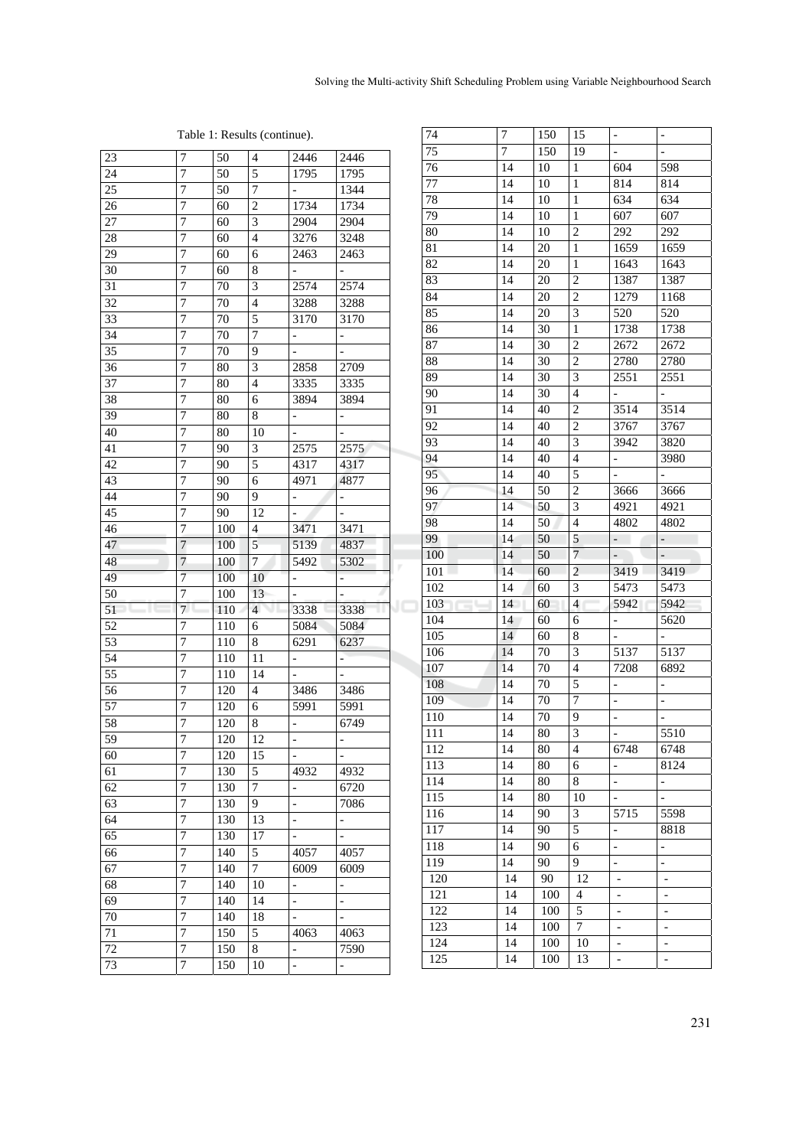### Table 1: Results (continue).

| 23       | 7              | 50         | 4              | 2446                     | 2446                         |   |
|----------|----------------|------------|----------------|--------------------------|------------------------------|---|
| 24       | 7              | 50         | 5              | 1795                     | 1795                         |   |
| 25       | 7              | 50         | $\overline{7}$ | $\blacksquare$           | 1344                         |   |
| 26       | 7              | 60         | $\overline{c}$ | 1734                     | 1734                         |   |
| 27       | 7              | 60         | 3              | 2904                     | 2904                         |   |
| 28       | 7              | 60         | $\overline{4}$ | $32\overline{76}$        | 3248                         |   |
| 29       | 7              | 60         | 6              | 2463                     | 2463                         |   |
| 30       | 7              | 60         | 8              | $\overline{\phantom{0}}$ |                              |   |
| 31       | 7              | 70         | 3              | 2574                     | 2574                         |   |
| 32       | 7              | 70         | $\overline{4}$ | 3288                     | 3288                         |   |
| 33       | 7              | 70         | 5              | 3170                     | 3170                         |   |
| 34       | 7              | 70         | $\overline{7}$ | -                        | -                            |   |
| 35       | 7              | 70         | 9              |                          |                              |   |
| 36       | 7              | 80         | 3              | 2858                     | 2709                         |   |
| 37       | 7              | 80         | $\overline{4}$ | 3335                     | 3335                         |   |
| 38       | $\overline{7}$ | 80         | 6              | 3894                     | 3894                         |   |
| 39       | $\overline{7}$ | 80         | 8              | ÷                        | $\overline{\phantom{a}}$     |   |
| 40       | 7              | 80         | 10             |                          |                              |   |
| 41       | 7              | 90         | 3              | 2575                     | 2575                         |   |
| 42       | 7              | 90         | 5              | 4317                     | 4317                         |   |
| 43       | 7              | 90         | 6              | 4971                     | 4877                         |   |
| 44       | 7              | 90         | 9              | $\Box$                   | $\overline{\phantom{a}}$     |   |
| 45       | 7              | 90         | 12             | $\overline{a}$           | $\qquad \qquad \blacksquare$ |   |
| 46       | 7              | 100        | 4              | 3471                     | 3471                         |   |
| 47       | $\overline{7}$ | 100        | 5              | 5139                     | 4837                         |   |
| 48       | $\overline{7}$ |            |                |                          |                              |   |
|          |                |            |                |                          |                              |   |
|          |                | 100        | $\overline{7}$ | 5492                     | 5302                         |   |
| 49       | 7              | 100        | 10             | $\mathbb{L}$             | ÷                            |   |
| 50       | 7              | 100        | 13             | $\overline{\phantom{0}}$ | $\overline{a}$<br>11         | J |
| 51       | $7^{\circ}$    | 110        | $\overline{4}$ | 3338                     | 3338                         |   |
| 52       | 7              | 110        | 6              | 5084                     | 5084                         |   |
| 53       | 7              | 110        | 8              | 6291                     | 6237                         |   |
| 54       | 7              | 110        | 11             | $\overline{\phantom{a}}$ | $\overline{\phantom{a}}$     |   |
| 55       | 7              | 110        | 14             | -                        | -                            |   |
| 56       | 7              | 120        | 4              | 3486                     | 3486                         |   |
| 57       | 7              | 120        | 6              | 5991                     | 5991                         |   |
| 58       | 7              | 120        | 8              | -                        | 6749                         |   |
| 59       | 7              | 120        | 12             | -                        | $\overline{\phantom{0}}$     |   |
| 60       | 7              | 120        | 15             | $\overline{a}$           | $\overline{a}$               |   |
| 61       | 7              | 130        | 5              | 4932                     | 4932                         |   |
| 62       | 7              | 130        | 7              | $\overline{a}$           | 6720                         |   |
| 63       | $\overline{7}$ | 130        | 9              | $\overline{\phantom{0}}$ | 7086                         |   |
| 64       | $\overline{7}$ | 130        | 13             | $\overline{\phantom{0}}$ | $\overline{\phantom{0}}$     |   |
| 65       | 7              | 130        | 17             | $\overline{a}$           | $\overline{\phantom{0}}$     |   |
| 66       | 7              | 140        | 5              | 4057                     | 4057                         |   |
| 67       | 7              | 140        | 7              | 6009                     | 6009                         |   |
| 68       | 7              | 140        | 10             | -                        | $\overline{\phantom{0}}$     |   |
| 69       | 7              | 140        | 14             | $\overline{a}$           | $\overline{a}$               |   |
| 70       | 7              | 140        | 18             | $\overline{\phantom{0}}$ | $\overline{\phantom{0}}$     |   |
| 71       | 7              | 150        | 5              | 4063                     | 4063                         |   |
| 72<br>73 | 7<br>7         | 150<br>150 | 8<br>10        | -                        | 7590                         |   |

| 74               | $\sqrt{ }$      | 150        | 15                      | $\overline{\phantom{0}}$      | -                             |
|------------------|-----------------|------------|-------------------------|-------------------------------|-------------------------------|
| 75               | 7               | 150        | 19                      | $\overline{a}$                |                               |
| 76               | 14              | 10         | 1                       | 604                           | 598                           |
| 77               | 14              | 10         | $\mathbf{1}$            | 814                           | 814                           |
| 78               | 14              | 10         | $\mathbf{1}$            | 634                           | 634                           |
| 79               | 14              | 10         | $\mathbf{1}$            | 607                           | 607                           |
| 80               | 14              | 10         | $\overline{c}$          | 292                           | 292                           |
| 81               | 14              | 20         | $\mathbf{1}$            | 1659                          | 1659                          |
| 82               | 14              | 20         | $\mathbf{1}$            | 1643                          | 1643                          |
| 83               | 14              | 20         | $\overline{c}$          | 1387                          | 1387                          |
| 84               | 14              | 20         | $\overline{c}$          | 1279                          | 1168                          |
| 85               | 14              | 20         | 3                       | 520                           | 520                           |
| 86               | 14              | 30         | $\mathbf{1}$            | 1738                          | 1738                          |
| 87               | 14              | 30         | $\overline{\mathbf{c}}$ | 2672                          | 2672                          |
| 88               | 14              | 30         | $\overline{c}$          | 2780                          | 2780                          |
| 89               | 14              | 30         | 3                       | 2551                          | 2551                          |
| 90               | 14              | 30         | 4                       |                               |                               |
| 91               | 14              | 40         | $\overline{c}$          | 3514                          | 3514                          |
| 92               | 14              | 40         | $\overline{c}$          | 3767                          | 3767                          |
| 93               | 14              | 40         | 3                       | 3942                          | 3820                          |
| 94               | 14              | 40         | $\overline{4}$          | -                             | 3980                          |
| 95               | 14              | 40         | 5                       | $\overline{a}$                |                               |
| 96               | 14              | 50         | $\overline{2}$          | 3666                          | 3666                          |
| 97               | 14              | 50         | 3                       | 4921                          | 4921                          |
| 98               | 14              | 50         | $\overline{4}$          | 4802                          | 4802                          |
| 99               | 14              | 50         | 5                       | $\overline{\phantom{0}}$      | $\overline{\phantom{0}}$      |
| 100              | 14              | 50         | $\overline{7}$          | $\overline{\phantom{0}}$      | $\overline{\phantom{m}}$      |
| 101              | 14              | 60         | $\overline{2}$          | 3419                          | 3419                          |
| 102              | 14              | 60         | 3                       | 5473                          | 5473                          |
| 103              | 14              | 60         | 4                       | 5942                          | 5942                          |
| 104              | 14              | 60         | 6                       | $\overline{\phantom{0}}$      | 5620                          |
| 105              | 14              | 60         |                         |                               |                               |
|                  |                 |            |                         |                               |                               |
|                  |                 |            | 8                       | $\overline{a}$                | -                             |
| 106              | 14              | 70         | $\overline{3}$          | 5137                          | 5137                          |
| 107              | 14              | 70         | $\overline{4}$          | 7208                          | 6892                          |
| 108              | 14              | 70         | 5                       | -                             | -                             |
| 109              | 14              | 70         | $\overline{7}$          | $\overline{a}$                | -                             |
| 110              | 14              | 70         | 9                       | -                             |                               |
| $\overline{111}$ | $\overline{14}$ | 80         | $\overline{3}$          |                               | 5510                          |
| 112              | 14              | 80         | 4                       | 6748                          | 6748                          |
| 113              | 14              | 80         | 6                       | -                             | 8124                          |
| 114              | 14              | 80         | 8                       | $\qquad \qquad -$             | ۰,                            |
| 115              | 14              | 80         | 10                      |                               |                               |
| 116              | 14              | 90         | 3                       | 5715                          | 5598                          |
| 117              | 14              | 90         | 5                       | -                             | 8818                          |
| 118              | 14              | 90         | 6                       | $\overline{a}$                | ÷,                            |
| 119              | 14              | 90         | 9                       | $\overline{\phantom{0}}$      | $\overline{\phantom{0}}$      |
| 120              | 14              | 90         | 12                      | $\overline{\phantom{a}}$      | $\overline{a}$                |
| 121              | 14              | 100        | 4                       | $\overline{\phantom{0}}$      | $\overline{a}$                |
| 122              | 14              | 100        | 5                       | -                             | $\overline{a}$                |
| 123              | 14              | 100        | 7                       | -                             | $\overline{\phantom{0}}$      |
| 124<br>125       | 14<br>14        | 100<br>100 | 10<br>13                | -<br>$\overline{\phantom{0}}$ | -<br>$\overline{\phantom{0}}$ |